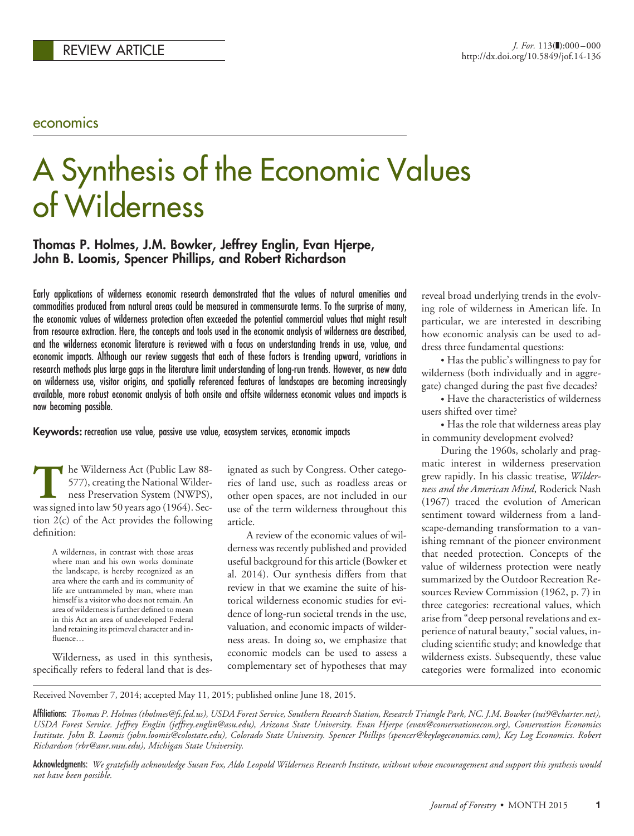# economics

# A Synthesis of the Economic Values of Wilderness

# **Thomas P. Holmes, J.M. Bowker, Jeffrey Englin, Evan Hjerpe, John B. Loomis, Spencer Phillips, and Robert Richardson**

Early applications of wilderness economic research demonstrated that the values of natural amenities and commodities produced from natural areas could be measured in commensurate terms. To the surprise of many, the economic values of wilderness protection often exceeded the potential commercial values that might result from resource extraction. Here, the concepts and tools used in the economic analysis of wilderness are described, and the wilderness economic literature is reviewed with a focus on understanding trends in use, value, and economic impacts. Although our review suggests that each of these factors is trending upward, variations in research methods plus large gaps in the literature limit understanding of long-run trends. However, as new data on wilderness use, visitor origins, and spatially referenced features of landscapes are becoming increasingly available, more robust economic analysis of both onsite and offsite wilderness economic values and impacts is now becoming possible.

**Keywords:** recreation use value, passive use value, ecosystem services, economic impacts

The Wilderness Act (Public Law 88-<br>577), creating the National Wilderness Preservation System (NWPS),<br>was signed into law 50 years ago (1964). Sec-577), creating the National Wilderness Preservation System (NWPS), was signed into law 50 years ago (1964). Section 2(c) of the Act provides the following definition:

> A wilderness, in contrast with those areas where man and his own works dominate the landscape, is hereby recognized as an area where the earth and its community of life are untrammeled by man, where man himself is a visitor who does not remain. An area of wilderness is further defined to mean in this Act an area of undeveloped Federal land retaining its primeval character and influence…

Wilderness, as used in this synthesis, specifically refers to federal land that is des-

ignated as such by Congress. Other categories of land use, such as roadless areas or other open spaces, are not included in our use of the term wilderness throughout this article.

A review of the economic values of wilderness was recently published and provided useful background for this article (Bowker et al. 2014). Our synthesis differs from that review in that we examine the suite of historical wilderness economic studies for evidence of long-run societal trends in the use, valuation, and economic impacts of wilderness areas. In doing so, we emphasize that economic models can be used to assess a complementary set of hypotheses that may

reveal broad underlying trends in the evolving role of wilderness in American life. In particular, we are interested in describing how economic analysis can be used to address three fundamental questions:

• Has the public's willingness to pay for wilderness (both individually and in aggregate) changed during the past five decades?

• Have the characteristics of wilderness users shifted over time?

• Has the role that wilderness areas play in community development evolved?

During the 1960s, scholarly and pragmatic interest in wilderness preservation grew rapidly. In his classic treatise, *Wilderness and the American Mind*, Roderick Nash (1967) traced the evolution of American sentiment toward wilderness from a landscape-demanding transformation to a vanishing remnant of the pioneer environment that needed protection. Concepts of the value of wilderness protection were neatly summarized by the Outdoor Recreation Resources Review Commission (1962, p. 7) in three categories: recreational values, which arise from "deep personal revelations and experience of natural beauty," social values, including scientific study; and knowledge that wilderness exists. Subsequently, these value categories were formalized into economic

Received November 7, 2014; accepted May 11, 2015; published online June 18, 2015.

Acknowledgments: *We gratefully acknowledge Susan Fox, Aldo Leopold Wilderness Research Institute, without whose encouragement and support this synthesis would not have been possible.*

Affiliations: *Thomas P. Holmes (tholmes@fs.fed.us), USDA Forest Service, Southern Research Station, Research Triangle Park, NC. J.M. Bowker (tui9@charter.net), USDA Forest Service. Jeffrey Englin (jeffrey.englin@asu.edu), Arizona State University. Evan Hjerpe (evan@conservationecon.org), Conservation Economics Institute. John B. Loomis (john.loomis@colostate.edu), Colorado State University. Spencer Phillips (spencer@keylogeconomics.com), Key Log Economics. Robert Richardson (rbr@anr.msu.edu), Michigan State University.*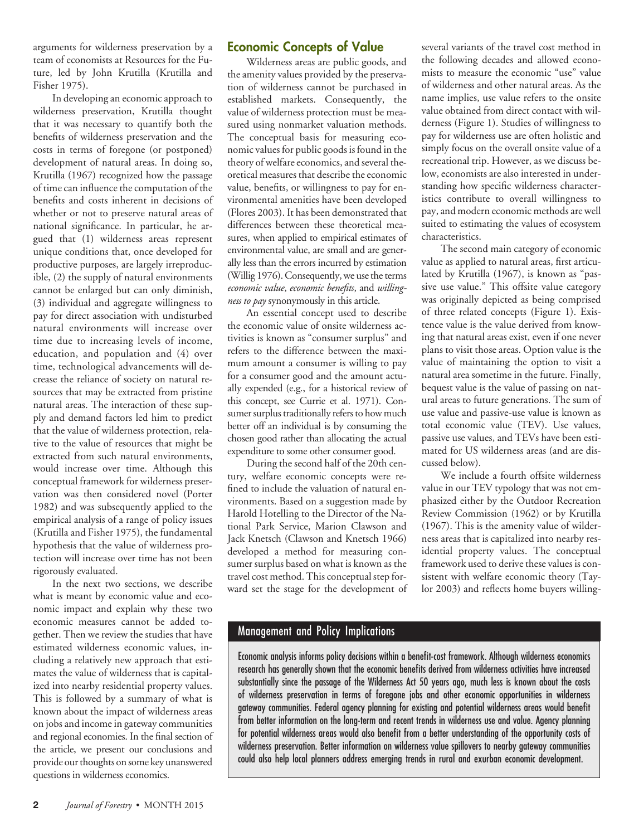arguments for wilderness preservation by a team of economists at Resources for the Future, led by John Krutilla (Krutilla and Fisher 1975).

In developing an economic approach to wilderness preservation, Krutilla thought that it was necessary to quantify both the benefits of wilderness preservation and the costs in terms of foregone (or postponed) development of natural areas. In doing so, Krutilla (1967) recognized how the passage of time can influence the computation of the benefits and costs inherent in decisions of whether or not to preserve natural areas of national significance. In particular, he argued that (1) wilderness areas represent unique conditions that, once developed for productive purposes, are largely irreproducible, (2) the supply of natural environments cannot be enlarged but can only diminish, (3) individual and aggregate willingness to pay for direct association with undisturbed natural environments will increase over time due to increasing levels of income, education, and population and (4) over time, technological advancements will decrease the reliance of society on natural resources that may be extracted from pristine natural areas. The interaction of these supply and demand factors led him to predict that the value of wilderness protection, relative to the value of resources that might be extracted from such natural environments, would increase over time. Although this conceptual framework for wilderness preservation was then considered novel (Porter 1982) and was subsequently applied to the empirical analysis of a range of policy issues (Krutilla and Fisher 1975), the fundamental hypothesis that the value of wilderness protection will increase over time has not been rigorously evaluated.

In the next two sections, we describe what is meant by economic value and economic impact and explain why these two economic measures cannot be added together. Then we review the studies that have estimated wilderness economic values, including a relatively new approach that estimates the value of wilderness that is capitalized into nearby residential property values. This is followed by a summary of what is known about the impact of wilderness areas on jobs and income in gateway communities and regional economies. In the final section of the article, we present our conclusions and provide our thoughts on some key unanswered questions in wilderness economics.

## **Economic Concepts of Value**

Wilderness areas are public goods, and the amenity values provided by the preservation of wilderness cannot be purchased in established markets. Consequently, the value of wilderness protection must be measured using nonmarket valuation methods. The conceptual basis for measuring economic values for public goods is found in the theory of welfare economics, and several theoretical measures that describe the economic value, benefits, or willingness to pay for environmental amenities have been developed (Flores 2003). It has been demonstrated that differences between these theoretical measures, when applied to empirical estimates of environmental value, are small and are generally less than the errors incurred by estimation (Willig 1976). Consequently, we use the terms *economic value*, *economic benefits*, and *willingness to pay* synonymously in this article.

An essential concept used to describe the economic value of onsite wilderness activities is known as "consumer surplus" and refers to the difference between the maximum amount a consumer is willing to pay for a consumer good and the amount actually expended (e.g., for a historical review of this concept, see Currie et al. 1971). Consumer surplus traditionally refers to how much better off an individual is by consuming the chosen good rather than allocating the actual expenditure to some other consumer good.

During the second half of the 20th century, welfare economic concepts were refined to include the valuation of natural environments. Based on a suggestion made by Harold Hotelling to the Director of the National Park Service, Marion Clawson and Jack Knetsch (Clawson and Knetsch 1966) developed a method for measuring consumer surplus based on what is known as the travel cost method. This conceptual step forward set the stage for the development of

several variants of the travel cost method in the following decades and allowed economists to measure the economic "use" value of wilderness and other natural areas. As the name implies, use value refers to the onsite value obtained from direct contact with wilderness (Figure 1). Studies of willingness to pay for wilderness use are often holistic and simply focus on the overall onsite value of a recreational trip. However, as we discuss below, economists are also interested in understanding how specific wilderness characteristics contribute to overall willingness to pay, and modern economic methods are well suited to estimating the values of ecosystem characteristics.

The second main category of economic value as applied to natural areas, first articulated by Krutilla (1967), is known as "passive use value." This offsite value category was originally depicted as being comprised of three related concepts (Figure 1). Existence value is the value derived from knowing that natural areas exist, even if one never plans to visit those areas. Option value is the value of maintaining the option to visit a natural area sometime in the future. Finally, bequest value is the value of passing on natural areas to future generations. The sum of use value and passive-use value is known as total economic value (TEV). Use values, passive use values, and TEVs have been estimated for US wilderness areas (and are discussed below).

We include a fourth offsite wilderness value in our TEV typology that was not emphasized either by the Outdoor Recreation Review Commission (1962) or by Krutilla (1967). This is the amenity value of wilderness areas that is capitalized into nearby residential property values. The conceptual framework used to derive these values is consistent with welfare economic theory (Taylor 2003) and reflects home buyers willing-

## Management and Policy Implications

Economic analysis informs policy decisions within a benefit-cost framework. Although wilderness economics research has generally shown that the economic benefits derived from wilderness activities have increased substantially since the passage of the Wilderness Act 50 years ago, much less is known about the costs of wilderness preservation in terms of foregone jobs and other economic opportunities in wilderness gateway communities. Federal agency planning for existing and potential wilderness areas would benefit from better information on the long-term and recent trends in wilderness use and value. Agency planning for potential wilderness areas would also benefit from a better understanding of the opportunity costs of wilderness preservation. Better information on wilderness value spillovers to nearby gateway communities could also help local planners address emerging trends in rural and exurban economic development.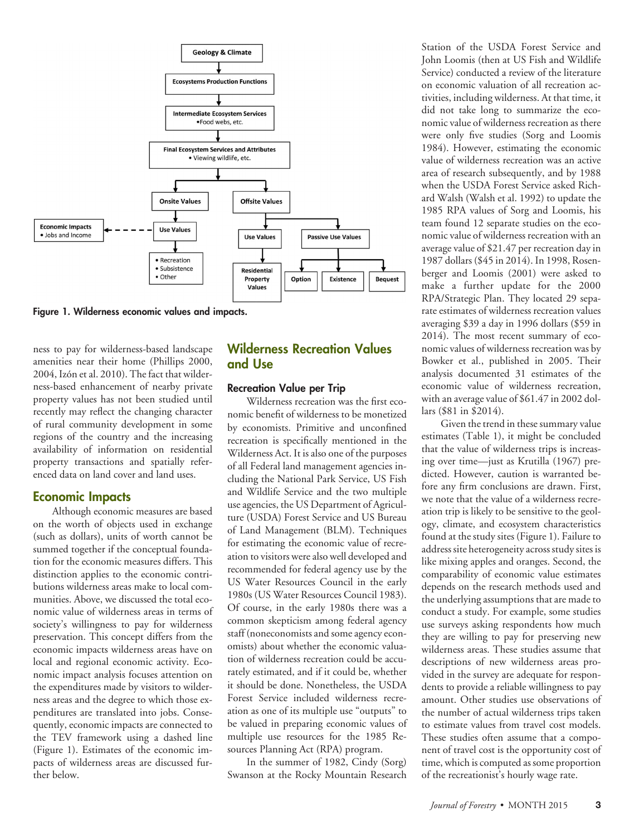

**Figure 1. Wilderness economic values and impacts.**

ness to pay for wilderness-based landscape amenities near their home (Phillips 2000, 2004, Izón et al. 2010). The fact that wilderness-based enhancement of nearby private property values has not been studied until recently may reflect the changing character of rural community development in some regions of the country and the increasing availability of information on residential property transactions and spatially referenced data on land cover and land uses.

## **Economic Impacts**

Although economic measures are based on the worth of objects used in exchange (such as dollars), units of worth cannot be summed together if the conceptual foundation for the economic measures differs. This distinction applies to the economic contributions wilderness areas make to local communities. Above, we discussed the total economic value of wilderness areas in terms of society's willingness to pay for wilderness preservation. This concept differs from the economic impacts wilderness areas have on local and regional economic activity. Economic impact analysis focuses attention on the expenditures made by visitors to wilderness areas and the degree to which those expenditures are translated into jobs. Consequently, economic impacts are connected to the TEV framework using a dashed line (Figure 1). Estimates of the economic impacts of wilderness areas are discussed further below.

# **Wilderness Recreation Values and Use**

#### **Recreation Value per Trip**

Wilderness recreation was the first economic benefit of wilderness to be monetized by economists. Primitive and unconfined recreation is specifically mentioned in the Wilderness Act. It is also one of the purposes of all Federal land management agencies including the National Park Service, US Fish and Wildlife Service and the two multiple use agencies, the US Department of Agriculture (USDA) Forest Service and US Bureau of Land Management (BLM). Techniques for estimating the economic value of recreation to visitors were also well developed and recommended for federal agency use by the US Water Resources Council in the early 1980s (US Water Resources Council 1983). Of course, in the early 1980s there was a common skepticism among federal agency staff (noneconomists and some agency economists) about whether the economic valuation of wilderness recreation could be accurately estimated, and if it could be, whether it should be done. Nonetheless, the USDA Forest Service included wilderness recreation as one of its multiple use "outputs" to be valued in preparing economic values of multiple use resources for the 1985 Resources Planning Act (RPA) program.

In the summer of 1982, Cindy (Sorg) Swanson at the Rocky Mountain Research

Station of the USDA Forest Service and John Loomis (then at US Fish and Wildlife Service) conducted a review of the literature on economic valuation of all recreation activities, including wilderness. At that time, it did not take long to summarize the economic value of wilderness recreation as there were only five studies (Sorg and Loomis 1984). However, estimating the economic value of wilderness recreation was an active area of research subsequently, and by 1988 when the USDA Forest Service asked Richard Walsh (Walsh et al. 1992) to update the 1985 RPA values of Sorg and Loomis, his team found 12 separate studies on the economic value of wilderness recreation with an average value of \$21.47 per recreation day in 1987 dollars (\$45 in 2014). In 1998, Rosenberger and Loomis (2001) were asked to make a further update for the 2000 RPA/Strategic Plan. They located 29 separate estimates of wilderness recreation values averaging \$39 a day in 1996 dollars (\$59 in 2014). The most recent summary of economic values of wilderness recreation was by Bowker et al., published in 2005. Their analysis documented 31 estimates of the economic value of wilderness recreation, with an average value of \$61.47 in 2002 dollars (\$81 in \$2014).

Given the trend in these summary value estimates (Table 1), it might be concluded that the value of wilderness trips is increasing over time—just as Krutilla (1967) predicted. However, caution is warranted before any firm conclusions are drawn. First, we note that the value of a wilderness recreation trip is likely to be sensitive to the geology, climate, and ecosystem characteristics found at the study sites (Figure 1). Failure to address site heterogeneity across study sites is like mixing apples and oranges. Second, the comparability of economic value estimates depends on the research methods used and the underlying assumptions that are made to conduct a study. For example, some studies use surveys asking respondents how much they are willing to pay for preserving new wilderness areas. These studies assume that descriptions of new wilderness areas provided in the survey are adequate for respondents to provide a reliable willingness to pay amount. Other studies use observations of the number of actual wilderness trips taken to estimate values from travel cost models. These studies often assume that a component of travel cost is the opportunity cost of time, which is computed as some proportion of the recreationist's hourly wage rate.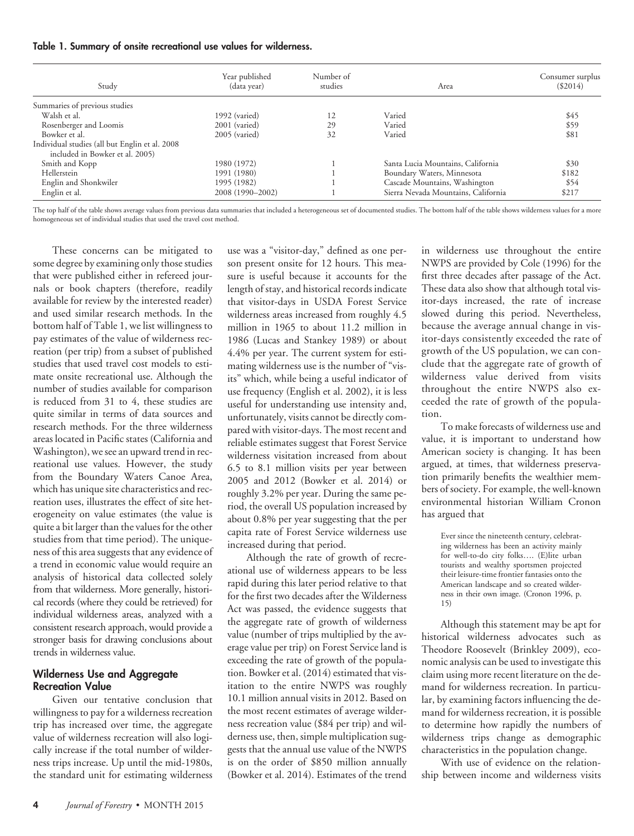#### **Table 1. Summary of onsite recreational use values for wilderness.**

| Study                                                                              | Year published<br>(data year) | Number of<br>studies | Area                                | Consumer surplus<br>$(\$2014)$ |
|------------------------------------------------------------------------------------|-------------------------------|----------------------|-------------------------------------|--------------------------------|
| Summaries of previous studies                                                      |                               |                      |                                     |                                |
| Walsh et al.                                                                       | 1992 (varied)                 | 12                   | Varied                              | \$45                           |
| Rosenberger and Loomis                                                             | 2001 (varied)                 | 29                   | Varied                              | \$59                           |
| Bowker et al.                                                                      | $2005$ (varied)               | 32                   | Varied                              | \$81                           |
| Individual studies (all but Englin et al. 2008)<br>included in Bowker et al. 2005) |                               |                      |                                     |                                |
| Smith and Kopp                                                                     | 1980 (1972)                   |                      | Santa Lucia Mountains, California   | \$30                           |
| Hellerstein                                                                        | 1991 (1980)                   |                      | Boundary Waters, Minnesota          | \$182                          |
| Englin and Shonkwiler                                                              | 1995 (1982)                   |                      | Cascade Mountains, Washington       | \$54                           |
| Englin et al.                                                                      | 2008 (1990-2002)              |                      | Sierra Nevada Mountains, California | \$217                          |

The top half of the table shows average values from previous data summaries that included a heterogeneous set of documented studies. The bottom half of the table shows wilderness values for a more homogeneous set of individual studies that used the travel cost method.

These concerns can be mitigated to some degree by examining only those studies that were published either in refereed journals or book chapters (therefore, readily available for review by the interested reader) and used similar research methods. In the bottom half of Table 1, we list willingness to pay estimates of the value of wilderness recreation (per trip) from a subset of published studies that used travel cost models to estimate onsite recreational use. Although the number of studies available for comparison is reduced from 31 to 4, these studies are quite similar in terms of data sources and research methods. For the three wilderness areas located in Pacific states (California and Washington), we see an upward trend in recreational use values. However, the study from the Boundary Waters Canoe Area, which has unique site characteristics and recreation uses, illustrates the effect of site heterogeneity on value estimates (the value is quite a bit larger than the values for the other studies from that time period). The uniqueness of this area suggests that any evidence of a trend in economic value would require an analysis of historical data collected solely from that wilderness. More generally, historical records (where they could be retrieved) for individual wilderness areas, analyzed with a consistent research approach, would provide a stronger basis for drawing conclusions about trends in wilderness value.

#### **Wilderness Use and Aggregate Recreation Value**

Given our tentative conclusion that willingness to pay for a wilderness recreation trip has increased over time, the aggregate value of wilderness recreation will also logically increase if the total number of wilderness trips increase. Up until the mid-1980s, the standard unit for estimating wilderness

use was a "visitor-day," defined as one person present onsite for 12 hours. This measure is useful because it accounts for the length of stay, and historical records indicate that visitor-days in USDA Forest Service wilderness areas increased from roughly 4.5 million in 1965 to about 11.2 million in 1986 (Lucas and Stankey 1989) or about 4.4% per year. The current system for estimating wilderness use is the number of "visits" which, while being a useful indicator of use frequency (English et al. 2002), it is less useful for understanding use intensity and, unfortunately, visits cannot be directly compared with visitor-days. The most recent and reliable estimates suggest that Forest Service wilderness visitation increased from about 6.5 to 8.1 million visits per year between 2005 and 2012 (Bowker et al. 2014) or roughly 3.2% per year. During the same period, the overall US population increased by about 0.8% per year suggesting that the per capita rate of Forest Service wilderness use increased during that period.

Although the rate of growth of recreational use of wilderness appears to be less rapid during this later period relative to that for the first two decades after the Wilderness Act was passed, the evidence suggests that the aggregate rate of growth of wilderness value (number of trips multiplied by the average value per trip) on Forest Service land is exceeding the rate of growth of the population. Bowker et al. (2014) estimated that visitation to the entire NWPS was roughly 10.1 million annual visits in 2012. Based on the most recent estimates of average wilderness recreation value (\$84 per trip) and wilderness use, then, simple multiplication suggests that the annual use value of the NWPS is on the order of \$850 million annually (Bowker et al. 2014). Estimates of the trend

in wilderness use throughout the entire NWPS are provided by Cole (1996) for the first three decades after passage of the Act. These data also show that although total visitor-days increased, the rate of increase slowed during this period. Nevertheless, because the average annual change in visitor-days consistently exceeded the rate of growth of the US population, we can conclude that the aggregate rate of growth of wilderness value derived from visits throughout the entire NWPS also exceeded the rate of growth of the population.

To make forecasts of wilderness use and value, it is important to understand how American society is changing. It has been argued, at times, that wilderness preservation primarily benefits the wealthier members of society. For example, the well-known environmental historian William Cronon has argued that

> Ever since the nineteenth century, celebrating wilderness has been an activity mainly for well-to-do city folks…. (E)lite urban tourists and wealthy sportsmen projected their leisure-time frontier fantasies onto the American landscape and so created wilderness in their own image. (Cronon 1996, p. 15)

Although this statement may be apt for historical wilderness advocates such as Theodore Roosevelt (Brinkley 2009), economic analysis can be used to investigate this claim using more recent literature on the demand for wilderness recreation. In particular, by examining factors influencing the demand for wilderness recreation, it is possible to determine how rapidly the numbers of wilderness trips change as demographic characteristics in the population change.

With use of evidence on the relationship between income and wilderness visits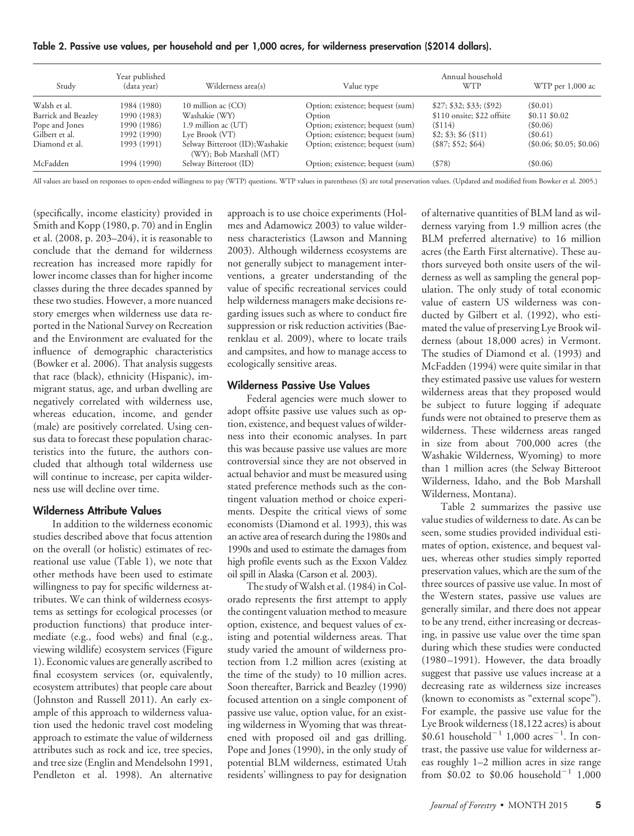| Study               | Year published<br>(data year) | Wilderness area(s)                                         | Value type                       | Annual household<br>WTP    | $WTP$ per 1,000 ac       |
|---------------------|-------------------------------|------------------------------------------------------------|----------------------------------|----------------------------|--------------------------|
| Walsh et al.        | 1984 (1980)                   | 10 million ac $(CO)$                                       | Option; existence; bequest (sum) | \$27; \$32; \$33; (\$92)   | $(\$0.01)$               |
| Barrick and Beazley | 1990 (1983)                   | Washakie (WY)                                              | Option                           | \$110 onsite; \$22 offsite | \$0.11\$0.02             |
| Pope and Jones      | 1990 (1986)                   | 1.9 million ac $(UT)$                                      | Option; existence; bequest (sum) | (S114)                     | \$0.06                   |
| Gilbert et al.      | 1992 (1990)                   | Lye Brook (VT)                                             | Option; existence; bequest (sum) | \$2; \$3; \$6(11)          | (S0.61)                  |
| Diamond et al.      | 1993 (1991)                   | Selway Bitteroot (ID); Washakie<br>(WY); Bob Marshall (MT) | Option; existence; bequest (sum) | (\$87; \$52; \$64)         | (\$0.06; \$0.05; \$0.06) |
| McFadden            | 1994 (1990)                   | Selway Bitteroot (ID)                                      | Option; existence; bequest (sum) | (578)                      | (\$0.06)                 |

All values are based on responses to open-ended willingness to pay (WTP) questions. WTP values in parentheses (\$) are total preservation values. (Updated and modified from Bowker et al. 2005.)

(specifically, income elasticity) provided in Smith and Kopp (1980, p. 70) and in Englin et al. (2008, p. 203–204), it is reasonable to conclude that the demand for wilderness recreation has increased more rapidly for lower income classes than for higher income classes during the three decades spanned by these two studies. However, a more nuanced story emerges when wilderness use data reported in the National Survey on Recreation and the Environment are evaluated for the influence of demographic characteristics (Bowker et al. 2006). That analysis suggests that race (black), ethnicity (Hispanic), immigrant status, age, and urban dwelling are negatively correlated with wilderness use, whereas education, income, and gender (male) are positively correlated. Using census data to forecast these population characteristics into the future, the authors concluded that although total wilderness use will continue to increase, per capita wilderness use will decline over time.

### **Wilderness Attribute Values**

In addition to the wilderness economic studies described above that focus attention on the overall (or holistic) estimates of recreational use value (Table 1), we note that other methods have been used to estimate willingness to pay for specific wilderness attributes. We can think of wilderness ecosystems as settings for ecological processes (or production functions) that produce intermediate (e.g., food webs) and final (e.g., viewing wildlife) ecosystem services (Figure 1). Economic values are generally ascribed to final ecosystem services (or, equivalently, ecosystem attributes) that people care about (Johnston and Russell 2011). An early example of this approach to wilderness valuation used the hedonic travel cost modeling approach to estimate the value of wilderness attributes such as rock and ice, tree species, and tree size (Englin and Mendelsohn 1991, Pendleton et al. 1998). An alternative

approach is to use choice experiments (Holmes and Adamowicz 2003) to value wilderness characteristics (Lawson and Manning 2003). Although wilderness ecosystems are not generally subject to management interventions, a greater understanding of the value of specific recreational services could help wilderness managers make decisions regarding issues such as where to conduct fire suppression or risk reduction activities (Baerenklau et al. 2009), where to locate trails and campsites, and how to manage access to ecologically sensitive areas.

#### **Wilderness Passive Use Values**

Federal agencies were much slower to adopt offsite passive use values such as option, existence, and bequest values of wilderness into their economic analyses. In part this was because passive use values are more controversial since they are not observed in actual behavior and must be measured using stated preference methods such as the contingent valuation method or choice experiments. Despite the critical views of some economists (Diamond et al. 1993), this was an active area of research during the 1980s and 1990s and used to estimate the damages from high profile events such as the Exxon Valdez oil spill in Alaska (Carson et al. 2003).

The study of Walsh et al. (1984) in Colorado represents the first attempt to apply the contingent valuation method to measure option, existence, and bequest values of existing and potential wilderness areas. That study varied the amount of wilderness protection from 1.2 million acres (existing at the time of the study) to 10 million acres. Soon thereafter, Barrick and Beazley (1990) focused attention on a single component of passive use value, option value, for an existing wilderness in Wyoming that was threatened with proposed oil and gas drilling. Pope and Jones (1990), in the only study of potential BLM wilderness, estimated Utah residents' willingness to pay for designation

of alternative quantities of BLM land as wilderness varying from 1.9 million acres (the BLM preferred alternative) to 16 million acres (the Earth First alternative). These authors surveyed both onsite users of the wilderness as well as sampling the general population. The only study of total economic value of eastern US wilderness was conducted by Gilbert et al. (1992), who estimated the value of preserving Lye Brook wilderness (about 18,000 acres) in Vermont. The studies of Diamond et al. (1993) and McFadden (1994) were quite similar in that they estimated passive use values for western wilderness areas that they proposed would be subject to future logging if adequate funds were not obtained to preserve them as wilderness. These wilderness areas ranged in size from about 700,000 acres (the Washakie Wilderness, Wyoming) to more than 1 million acres (the Selway Bitteroot Wilderness, Idaho, and the Bob Marshall Wilderness, Montana).

Table 2 summarizes the passive use value studies of wilderness to date. As can be seen, some studies provided individual estimates of option, existence, and bequest values, whereas other studies simply reported preservation values, which are the sum of the three sources of passive use value. In most of the Western states, passive use values are generally similar, and there does not appear to be any trend, either increasing or decreasing, in passive use value over the time span during which these studies were conducted (1980 –1991). However, the data broadly suggest that passive use values increase at a decreasing rate as wilderness size increases (known to economists as "external scope"). For example, the passive use value for the Lye Brook wilderness (18,122 acres) is about  $$0.61$  household<sup>-1</sup> 1,000 acres<sup>-1</sup>. In contrast, the passive use value for wilderness areas roughly 1–2 million acres in size range from  $$0.02$  to  $$0.06$  household<sup>-1</sup> 1,000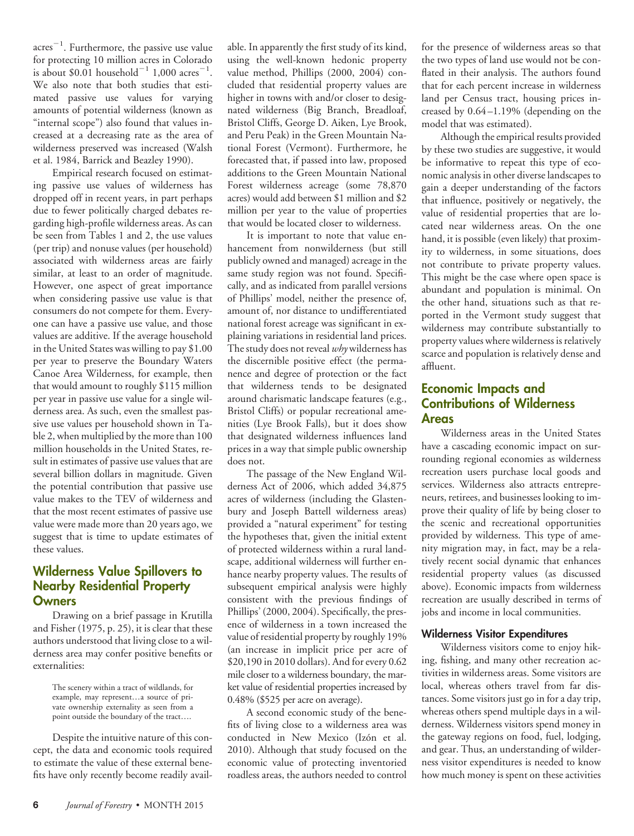$\arccos^{-1}$ . Furthermore, the passive use value for protecting 10 million acres in Colorado is about \$0.01 household<sup>-1</sup> 1,000 acres<sup>-1</sup>. We also note that both studies that estimated passive use values for varying amounts of potential wilderness (known as "internal scope") also found that values increased at a decreasing rate as the area of wilderness preserved was increased (Walsh et al. 1984, Barrick and Beazley 1990).

Empirical research focused on estimating passive use values of wilderness has dropped off in recent years, in part perhaps due to fewer politically charged debates regarding high-profile wilderness areas. As can be seen from Tables 1 and 2, the use values (per trip) and nonuse values (per household) associated with wilderness areas are fairly similar, at least to an order of magnitude. However, one aspect of great importance when considering passive use value is that consumers do not compete for them. Everyone can have a passive use value, and those values are additive. If the average household in the United States was willing to pay \$1.00 per year to preserve the Boundary Waters Canoe Area Wilderness, for example, then that would amount to roughly \$115 million per year in passive use value for a single wilderness area. As such, even the smallest passive use values per household shown in Table 2, when multiplied by the more than 100 million households in the United States, result in estimates of passive use values that are several billion dollars in magnitude. Given the potential contribution that passive use value makes to the TEV of wilderness and that the most recent estimates of passive use value were made more than 20 years ago, we suggest that is time to update estimates of these values.

## **Wilderness Value Spillovers to Nearby Residential Property Owners**

Drawing on a brief passage in Krutilla and Fisher (1975, p. 25), it is clear that these authors understood that living close to a wilderness area may confer positive benefits or externalities:

> The scenery within a tract of wildlands, for example, may represent…a source of private ownership externality as seen from a point outside the boundary of the tract….

Despite the intuitive nature of this concept, the data and economic tools required to estimate the value of these external benefits have only recently become readily available. In apparently the first study of its kind, using the well-known hedonic property value method, Phillips (2000, 2004) concluded that residential property values are higher in towns with and/or closer to designated wilderness (Big Branch, Breadloaf, Bristol Cliffs, George D. Aiken, Lye Brook, and Peru Peak) in the Green Mountain National Forest (Vermont). Furthermore, he forecasted that, if passed into law, proposed additions to the Green Mountain National Forest wilderness acreage (some 78,870 acres) would add between \$1 million and \$2 million per year to the value of properties that would be located closer to wilderness.

It is important to note that value enhancement from nonwilderness (but still publicly owned and managed) acreage in the same study region was not found. Specifically, and as indicated from parallel versions of Phillips' model, neither the presence of, amount of, nor distance to undifferentiated national forest acreage was significant in explaining variations in residential land prices. The study does not reveal *why* wilderness has the discernible positive effect (the permanence and degree of protection or the fact that wilderness tends to be designated around charismatic landscape features (e.g., Bristol Cliffs) or popular recreational amenities (Lye Brook Falls), but it does show that designated wilderness influences land prices in a way that simple public ownership does not.

The passage of the New England Wilderness Act of 2006, which added 34,875 acres of wilderness (including the Glastenbury and Joseph Battell wilderness areas) provided a "natural experiment" for testing the hypotheses that, given the initial extent of protected wilderness within a rural landscape, additional wilderness will further enhance nearby property values. The results of subsequent empirical analysis were highly consistent with the previous findings of Phillips' (2000, 2004). Specifically, the presence of wilderness in a town increased the value of residential property by roughly 19% (an increase in implicit price per acre of \$20,190 in 2010 dollars). And for every 0.62 mile closer to a wilderness boundary, the market value of residential properties increased by 0.48% (\$525 per acre on average).

A second economic study of the benefits of living close to a wilderness area was conducted in New Mexico (Izón et al. 2010). Although that study focused on the economic value of protecting inventoried roadless areas, the authors needed to control for the presence of wilderness areas so that the two types of land use would not be conflated in their analysis. The authors found that for each percent increase in wilderness land per Census tract, housing prices increased by 0.64 –1.19% (depending on the model that was estimated).

Although the empirical results provided by these two studies are suggestive, it would be informative to repeat this type of economic analysis in other diverse landscapes to gain a deeper understanding of the factors that influence, positively or negatively, the value of residential properties that are located near wilderness areas. On the one hand, it is possible (even likely) that proximity to wilderness, in some situations, does not contribute to private property values. This might be the case where open space is abundant and population is minimal. On the other hand, situations such as that reported in the Vermont study suggest that wilderness may contribute substantially to property values where wilderness is relatively scarce and population is relatively dense and affluent.

# **Economic Impacts and Contributions of Wilderness Areas**

Wilderness areas in the United States have a cascading economic impact on surrounding regional economies as wilderness recreation users purchase local goods and services. Wilderness also attracts entrepreneurs, retirees, and businesses looking to improve their quality of life by being closer to the scenic and recreational opportunities provided by wilderness. This type of amenity migration may, in fact, may be a relatively recent social dynamic that enhances residential property values (as discussed above). Economic impacts from wilderness recreation are usually described in terms of jobs and income in local communities.

## **Wilderness Visitor Expenditures**

Wilderness visitors come to enjoy hiking, fishing, and many other recreation activities in wilderness areas. Some visitors are local, whereas others travel from far distances. Some visitors just go in for a day trip, whereas others spend multiple days in a wilderness. Wilderness visitors spend money in the gateway regions on food, fuel, lodging, and gear. Thus, an understanding of wilderness visitor expenditures is needed to know how much money is spent on these activities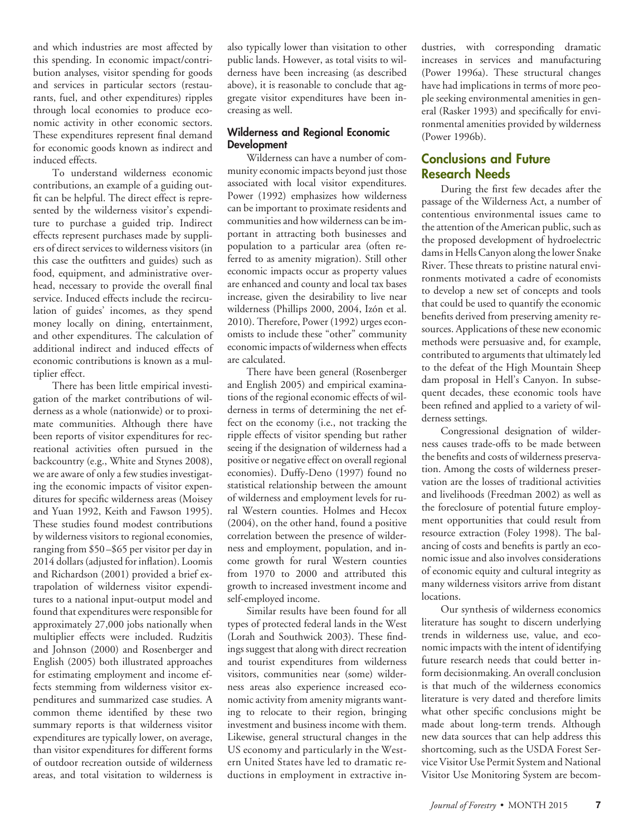and which industries are most affected by this spending. In economic impact/contribution analyses, visitor spending for goods and services in particular sectors (restaurants, fuel, and other expenditures) ripples through local economies to produce economic activity in other economic sectors. These expenditures represent final demand for economic goods known as indirect and induced effects.

To understand wilderness economic contributions, an example of a guiding outfit can be helpful. The direct effect is represented by the wilderness visitor's expenditure to purchase a guided trip. Indirect effects represent purchases made by suppliers of direct services to wilderness visitors (in this case the outfitters and guides) such as food, equipment, and administrative overhead, necessary to provide the overall final service. Induced effects include the recirculation of guides' incomes, as they spend money locally on dining, entertainment, and other expenditures. The calculation of additional indirect and induced effects of economic contributions is known as a multiplier effect.

There has been little empirical investigation of the market contributions of wilderness as a whole (nationwide) or to proximate communities. Although there have been reports of visitor expenditures for recreational activities often pursued in the backcountry (e.g., White and Stynes 2008), we are aware of only a few studies investigating the economic impacts of visitor expenditures for specific wilderness areas (Moisey and Yuan 1992, Keith and Fawson 1995). These studies found modest contributions by wilderness visitors to regional economies, ranging from \$50 –\$65 per visitor per day in 2014 dollars (adjusted for inflation). Loomis and Richardson (2001) provided a brief extrapolation of wilderness visitor expenditures to a national input-output model and found that expenditures were responsible for approximately 27,000 jobs nationally when multiplier effects were included. Rudzitis and Johnson (2000) and Rosenberger and English (2005) both illustrated approaches for estimating employment and income effects stemming from wilderness visitor expenditures and summarized case studies. A common theme identified by these two summary reports is that wilderness visitor expenditures are typically lower, on average, than visitor expenditures for different forms of outdoor recreation outside of wilderness areas, and total visitation to wilderness is

also typically lower than visitation to other public lands. However, as total visits to wilderness have been increasing (as described above), it is reasonable to conclude that aggregate visitor expenditures have been increasing as well.

## **Wilderness and Regional Economic Development**

Wilderness can have a number of community economic impacts beyond just those associated with local visitor expenditures. Power (1992) emphasizes how wilderness can be important to proximate residents and communities and how wilderness can be important in attracting both businesses and population to a particular area (often referred to as amenity migration). Still other economic impacts occur as property values are enhanced and county and local tax bases increase, given the desirability to live near wilderness (Phillips 2000, 2004, Izón et al. 2010). Therefore, Power (1992) urges economists to include these "other" community economic impacts of wilderness when effects are calculated.

There have been general (Rosenberger and English 2005) and empirical examinations of the regional economic effects of wilderness in terms of determining the net effect on the economy (i.e., not tracking the ripple effects of visitor spending but rather seeing if the designation of wilderness had a positive or negative effect on overall regional economies). Duffy-Deno (1997) found no statistical relationship between the amount of wilderness and employment levels for rural Western counties. Holmes and Hecox (2004), on the other hand, found a positive correlation between the presence of wilderness and employment, population, and income growth for rural Western counties from 1970 to 2000 and attributed this growth to increased investment income and self-employed income.

Similar results have been found for all types of protected federal lands in the West (Lorah and Southwick 2003). These findings suggest that along with direct recreation and tourist expenditures from wilderness visitors, communities near (some) wilderness areas also experience increased economic activity from amenity migrants wanting to relocate to their region, bringing investment and business income with them. Likewise, general structural changes in the US economy and particularly in the Western United States have led to dramatic reductions in employment in extractive in-

dustries, with corresponding dramatic increases in services and manufacturing (Power 1996a). These structural changes have had implications in terms of more people seeking environmental amenities in general (Rasker 1993) and specifically for environmental amenities provided by wilderness (Power 1996b).

## **Conclusions and Future Research Needs**

During the first few decades after the passage of the Wilderness Act, a number of contentious environmental issues came to the attention of the American public, such as the proposed development of hydroelectric dams in Hells Canyon along the lower Snake River. These threats to pristine natural environments motivated a cadre of economists to develop a new set of concepts and tools that could be used to quantify the economic benefits derived from preserving amenity resources. Applications of these new economic methods were persuasive and, for example, contributed to arguments that ultimately led to the defeat of the High Mountain Sheep dam proposal in Hell's Canyon. In subsequent decades, these economic tools have been refined and applied to a variety of wilderness settings.

Congressional designation of wilderness causes trade-offs to be made between the benefits and costs of wilderness preservation. Among the costs of wilderness preservation are the losses of traditional activities and livelihoods (Freedman 2002) as well as the foreclosure of potential future employment opportunities that could result from resource extraction (Foley 1998). The balancing of costs and benefits is partly an economic issue and also involves considerations of economic equity and cultural integrity as many wilderness visitors arrive from distant locations.

Our synthesis of wilderness economics literature has sought to discern underlying trends in wilderness use, value, and economic impacts with the intent of identifying future research needs that could better inform decisionmaking. An overall conclusion is that much of the wilderness economics literature is very dated and therefore limits what other specific conclusions might be made about long-term trends. Although new data sources that can help address this shortcoming, such as the USDA Forest Service Visitor Use Permit System and National Visitor Use Monitoring System are becom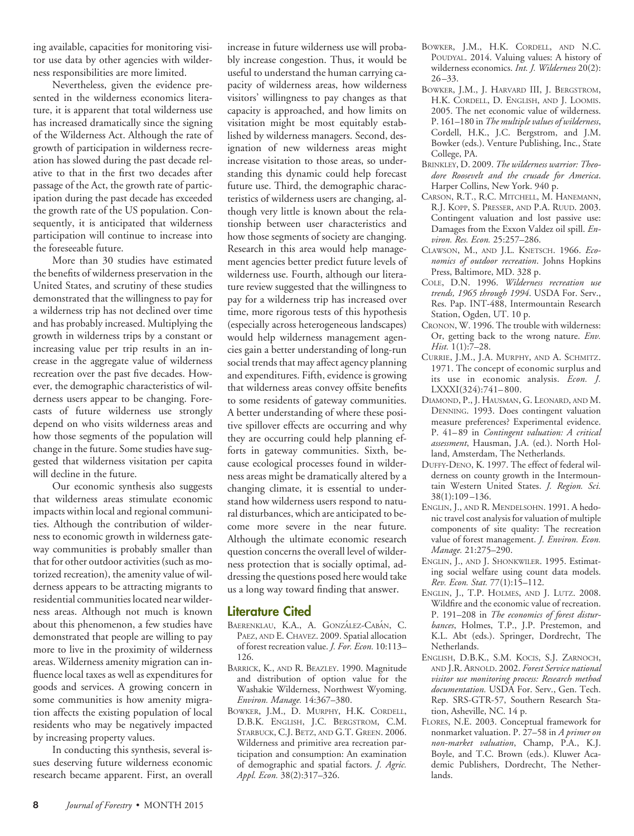ing available, capacities for monitoring visitor use data by other agencies with wilderness responsibilities are more limited.

Nevertheless, given the evidence presented in the wilderness economics literature, it is apparent that total wilderness use has increased dramatically since the signing of the Wilderness Act. Although the rate of growth of participation in wilderness recreation has slowed during the past decade relative to that in the first two decades after passage of the Act, the growth rate of participation during the past decade has exceeded the growth rate of the US population. Consequently, it is anticipated that wilderness participation will continue to increase into the foreseeable future.

More than 30 studies have estimated the benefits of wilderness preservation in the United States, and scrutiny of these studies demonstrated that the willingness to pay for a wilderness trip has not declined over time and has probably increased. Multiplying the growth in wilderness trips by a constant or increasing value per trip results in an increase in the aggregate value of wilderness recreation over the past five decades. However, the demographic characteristics of wilderness users appear to be changing. Forecasts of future wilderness use strongly depend on who visits wilderness areas and how those segments of the population will change in the future. Some studies have suggested that wilderness visitation per capita will decline in the future.

Our economic synthesis also suggests that wilderness areas stimulate economic impacts within local and regional communities. Although the contribution of wilderness to economic growth in wilderness gateway communities is probably smaller than that for other outdoor activities (such as motorized recreation), the amenity value of wilderness appears to be attracting migrants to residential communities located near wilderness areas. Although not much is known about this phenomenon, a few studies have demonstrated that people are willing to pay more to live in the proximity of wilderness areas. Wilderness amenity migration can influence local taxes as well as expenditures for goods and services. A growing concern in some communities is how amenity migration affects the existing population of local residents who may be negatively impacted by increasing property values.

In conducting this synthesis, several issues deserving future wilderness economic research became apparent. First, an overall

increase in future wilderness use will probably increase congestion. Thus, it would be useful to understand the human carrying capacity of wilderness areas, how wilderness visitors' willingness to pay changes as that capacity is approached, and how limits on visitation might be most equitably established by wilderness managers. Second, designation of new wilderness areas might increase visitation to those areas, so understanding this dynamic could help forecast future use. Third, the demographic characteristics of wilderness users are changing, although very little is known about the relationship between user characteristics and how those segments of society are changing. Research in this area would help management agencies better predict future levels of wilderness use. Fourth, although our literature review suggested that the willingness to pay for a wilderness trip has increased over time, more rigorous tests of this hypothesis (especially across heterogeneous landscapes) would help wilderness management agencies gain a better understanding of long-run social trends that may affect agency planning and expenditures. Fifth, evidence is growing that wilderness areas convey offsite benefits to some residents of gateway communities. A better understanding of where these positive spillover effects are occurring and why they are occurring could help planning efforts in gateway communities. Sixth, because ecological processes found in wilderness areas might be dramatically altered by a changing climate, it is essential to understand how wilderness users respond to natural disturbances, which are anticipated to become more severe in the near future. Although the ultimate economic research question concerns the overall level of wilderness protection that is socially optimal, addressing the questions posed here would take us a long way toward finding that answer.

## **Literature Cited**

- BAERENKLAU, K.A., A. GONZÁLEZ-CABÁN, C. PAEZ, AND E. CHAVEZ. 2009. Spatial allocation of forest recreation value. *J. For. Econ.* 10:113– 126.
- BARRICK, K., AND R. BEAZLEY. 1990. Magnitude and distribution of option value for the Washakie Wilderness, Northwest Wyoming. *Environ. Manage.* 14:367–380.
- BOWKER, J.M., D. MURPHY, H.K. CORDELL, D.B.K. ENGLISH, J.C. BERGSTROM, C.M. STARBUCK, C.J. BETZ, AND G.T. GREEN. 2006. Wilderness and primitive area recreation participation and consumption: An examination of demographic and spatial factors. *J. Agric. Appl. Econ.* 38(2):317–326.
- BOWKER, J.M., H.K. CORDELL, AND N.C. POUDYAL. 2014. Valuing values: A history of wilderness economics. *Int. J. Wilderness* 20(2):  $26 - 33.$
- BOWKER, J.M., J. HARVARD III, J. BERGSTROM, H.K. CORDELL, D. ENGLISH, AND J. LOOMIS. 2005. The net economic value of wilderness. P. 161–180 in *The multiple values of wilderness*, Cordell, H.K., J.C. Bergstrom, and J.M. Bowker (eds.). Venture Publishing, Inc., State College, PA.
- BRINKLEY, D. 2009. *The wilderness warrior: Theodore Roosevelt and the crusade for America*. Harper Collins, New York. 940 p.
- CARSON, R.T., R.C. MITCHELL, M. HANEMANN, R.J. KOPP, S. PRESSER, AND P.A. RUUD. 2003. Contingent valuation and lost passive use: Damages from the Exxon Valdez oil spill. *Environ. Res. Econ.* 25:257–286.
- CLAWSON, M., AND J.L. KNETSCH. 1966. *Economics of outdoor recreation*. Johns Hopkins Press, Baltimore, MD. 328 p.
- COLE, D.N. 1996. *Wilderness recreation use trends, 1965 through 1994*. USDA For. Serv., Res. Pap. INT-488, Intermountain Research Station, Ogden, UT. 10 p.
- CRONON, W. 1996. The trouble with wilderness: Or, getting back to the wrong nature. *Env. Hist.* 1(1):7–28.
- CURRIE, J.M., J.A. MURPHY, AND A. SCHMITZ. 1971. The concept of economic surplus and its use in economic analysis. *Econ. J.* LXXXI(324):741– 800.
- DIAMOND, P., J. HAUSMAN, G. LEONARD, AND M. DENNING. 1993. Does contingent valuation measure preferences? Experimental evidence. P. 41– 89 in *Contingent valuation: A critical assessment*, Hausman, J.A. (ed.). North Holland, Amsterdam, The Netherlands.
- DUFFY-DENO, K. 1997. The effect of federal wilderness on county growth in the Intermountain Western United States. *J. Region. Sci.* 38(1):109 –136.
- ENGLIN, J., AND R. MENDELSOHN. 1991. A hedonic travel cost analysis for valuation of multiple components of site quality: The recreation value of forest management. *J. Environ. Econ. Manage.* 21:275–290.
- ENGLIN, J., AND J. SHONKWILER. 1995. Estimating social welfare using count data models. *Rev. Econ. Stat.* 77(1):15–112.
- ENGLIN, J., T.P. HOLMES, AND J. LUTZ. 2008. Wildfire and the economic value of recreation. P. 191–208 in *The economics of forest disturbances*, Holmes, T.P., J.P. Prestemon, and K.L. Abt (eds.). Springer, Dordrecht, The Netherlands.
- ENGLISH, D.B.K., S.M. KOCIS, S.J. ZARNOCH, AND J.R. ARNOLD. 2002. *Forest Service national visitor use monitoring process: Research method documentation.* USDA For. Serv., Gen. Tech. Rep. SRS-GTR-57, Southern Research Station, Asheville, NC. 14 p.
- FLORES, N.E. 2003. Conceptual framework for nonmarket valuation. P. 27–58 in *A primer on non-market valuation*, Champ, P.A., K.J. Boyle, and T.C. Brown (eds.). Kluwer Academic Publishers, Dordrecht, The Netherlands.